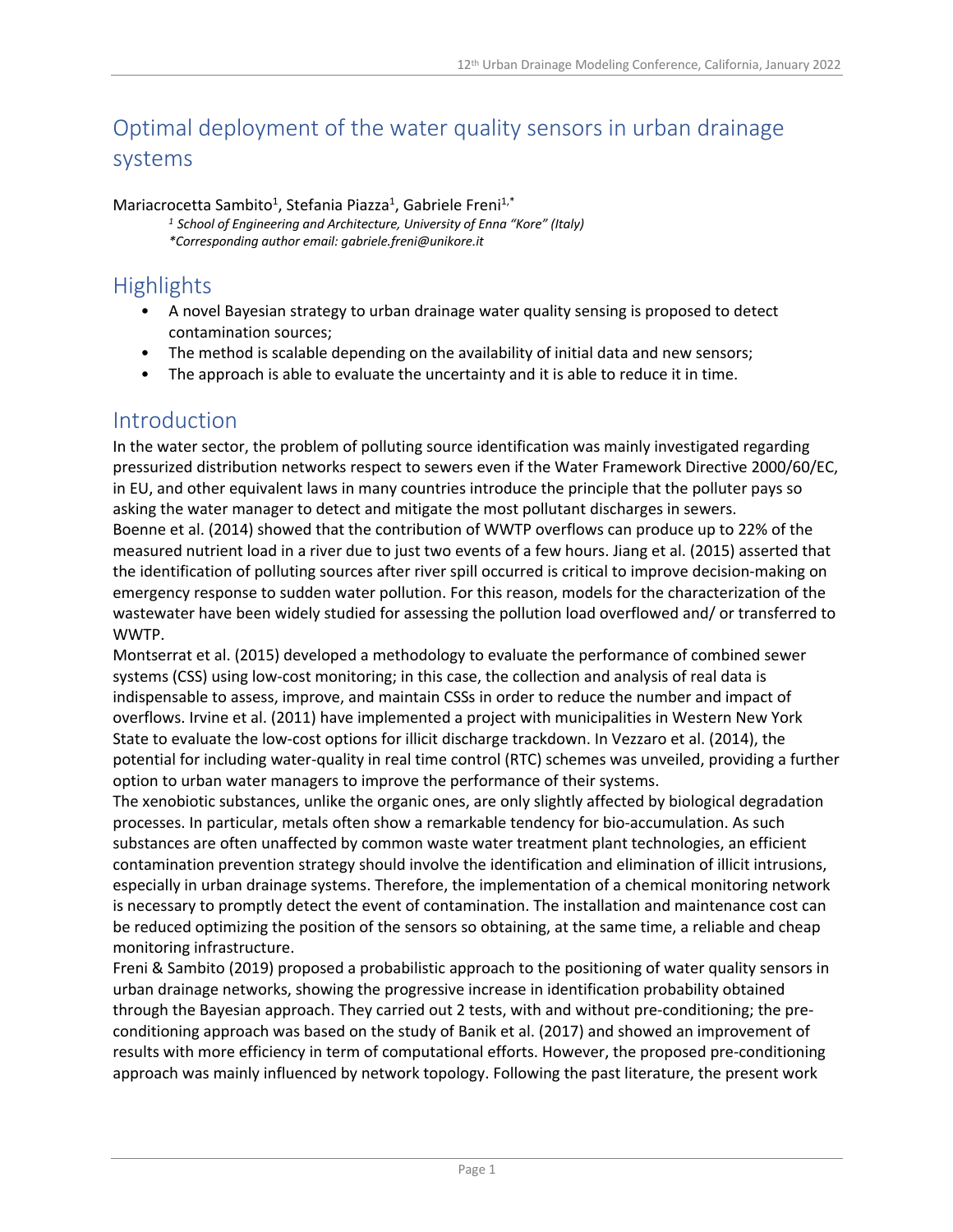# Optimal deployment of the water quality sensors in urban drainage systems

Mariacrocetta Sambito<sup>1</sup>, Stefania Piazza<sup>1</sup>, Gabriele Freni<sup>1,\*</sup>

*<sup>1</sup> School of Engineering and Architecture, University of Enna "Kore" (Italy) \*Corresponding author email: gabriele.freni@unikore.it*

## **Highlights**

- A novel Bayesian strategy to urban drainage water quality sensing is proposed to detect contamination sources;
- The method is scalable depending on the availability of initial data and new sensors;
- The approach is able to evaluate the uncertainty and it is able to reduce it in time.

### Introduction

In the water sector, the problem of polluting source identification was mainly investigated regarding pressurized distribution networks respect to sewers even if the Water Framework Directive 2000/60/EC, in EU, and other equivalent laws in many countries introduce the principle that the polluter pays so asking the water manager to detect and mitigate the most pollutant discharges in sewers. Boenne et al. (2014) showed that the contribution of WWTP overflows can produce up to 22% of the measured nutrient load in a river due to just two events of a few hours. Jiang et al. (2015) asserted that the identification of polluting sources after river spill occurred is critical to improve decision-making on emergency response to sudden water pollution. For this reason, models for the characterization of the wastewater have been widely studied for assessing the pollution load overflowed and/ or transferred to WWTP.

Montserrat et al. (2015) developed a methodology to evaluate the performance of combined sewer systems (CSS) using low-cost monitoring; in this case, the collection and analysis of real data is indispensable to assess, improve, and maintain CSSs in order to reduce the number and impact of overflows. Irvine et al. (2011) have implemented a project with municipalities in Western New York State to evaluate the low-cost options for illicit discharge trackdown. In Vezzaro et al. (2014), the potential for including water-quality in real time control (RTC) schemes was unveiled, providing a further option to urban water managers to improve the performance of their systems.

The xenobiotic substances, unlike the organic ones, are only slightly affected by biological degradation processes. In particular, metals often show a remarkable tendency for bio-accumulation. As such substances are often unaffected by common waste water treatment plant technologies, an efficient contamination prevention strategy should involve the identification and elimination of illicit intrusions, especially in urban drainage systems. Therefore, the implementation of a chemical monitoring network is necessary to promptly detect the event of contamination. The installation and maintenance cost can be reduced optimizing the position of the sensors so obtaining, at the same time, a reliable and cheap monitoring infrastructure.

Freni & Sambito (2019) proposed a probabilistic approach to the positioning of water quality sensors in urban drainage networks, showing the progressive increase in identification probability obtained through the Bayesian approach. They carried out 2 tests, with and without pre-conditioning; the preconditioning approach was based on the study of Banik et al. (2017) and showed an improvement of results with more efficiency in term of computational efforts. However, the proposed pre-conditioning approach was mainly influenced by network topology. Following the past literature, the present work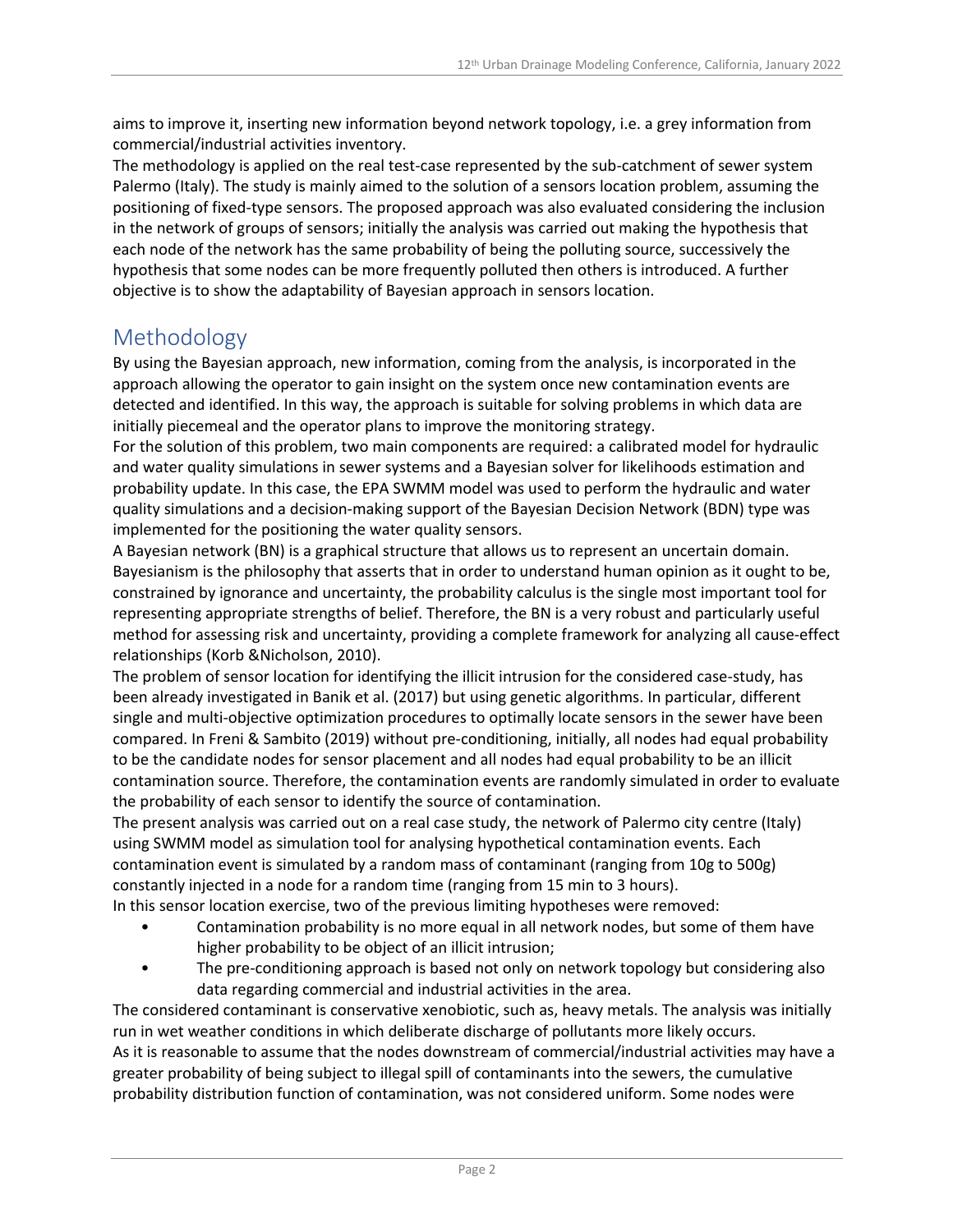aims to improve it, inserting new information beyond network topology, i.e. a grey information from commercial/industrial activities inventory.

The methodology is applied on the real test-case represented by the sub-catchment of sewer system Palermo (Italy). The study is mainly aimed to the solution of a sensors location problem, assuming the positioning of fixed-type sensors. The proposed approach was also evaluated considering the inclusion in the network of groups of sensors; initially the analysis was carried out making the hypothesis that each node of the network has the same probability of being the polluting source, successively the hypothesis that some nodes can be more frequently polluted then others is introduced. A further objective is to show the adaptability of Bayesian approach in sensors location.

### Methodology

By using the Bayesian approach, new information, coming from the analysis, is incorporated in the approach allowing the operator to gain insight on the system once new contamination events are detected and identified. In this way, the approach is suitable for solving problems in which data are initially piecemeal and the operator plans to improve the monitoring strategy.

For the solution of this problem, two main components are required: a calibrated model for hydraulic and water quality simulations in sewer systems and a Bayesian solver for likelihoods estimation and probability update. In this case, the EPA SWMM model was used to perform the hydraulic and water quality simulations and a decision-making support of the Bayesian Decision Network (BDN) type was implemented for the positioning the water quality sensors.

A Bayesian network (BN) is a graphical structure that allows us to represent an uncertain domain. Bayesianism is the philosophy that asserts that in order to understand human opinion as it ought to be, constrained by ignorance and uncertainty, the probability calculus is the single most important tool for representing appropriate strengths of belief. Therefore, the BN is a very robust and particularly useful method for assessing risk and uncertainty, providing a complete framework for analyzing all cause-effect relationships (Korb &Nicholson, 2010).

The problem of sensor location for identifying the illicit intrusion for the considered case-study, has been already investigated in Banik et al. (2017) but using genetic algorithms. In particular, different single and multi-objective optimization procedures to optimally locate sensors in the sewer have been compared. In Freni & Sambito (2019) without pre-conditioning, initially, all nodes had equal probability to be the candidate nodes for sensor placement and all nodes had equal probability to be an illicit contamination source. Therefore, the contamination events are randomly simulated in order to evaluate the probability of each sensor to identify the source of contamination.

The present analysis was carried out on a real case study, the network of Palermo city centre (Italy) using SWMM model as simulation tool for analysing hypothetical contamination events. Each contamination event is simulated by a random mass of contaminant (ranging from 10g to 500g) constantly injected in a node for a random time (ranging from 15 min to 3 hours).

In this sensor location exercise, two of the previous limiting hypotheses were removed:

- Contamination probability is no more equal in all network nodes, but some of them have higher probability to be object of an illicit intrusion;
- The pre-conditioning approach is based not only on network topology but considering also data regarding commercial and industrial activities in the area.

The considered contaminant is conservative xenobiotic, such as, heavy metals. The analysis was initially run in wet weather conditions in which deliberate discharge of pollutants more likely occurs. As it is reasonable to assume that the nodes downstream of commercial/industrial activities may have a greater probability of being subject to illegal spill of contaminants into the sewers, the cumulative probability distribution function of contamination, was not considered uniform. Some nodes were